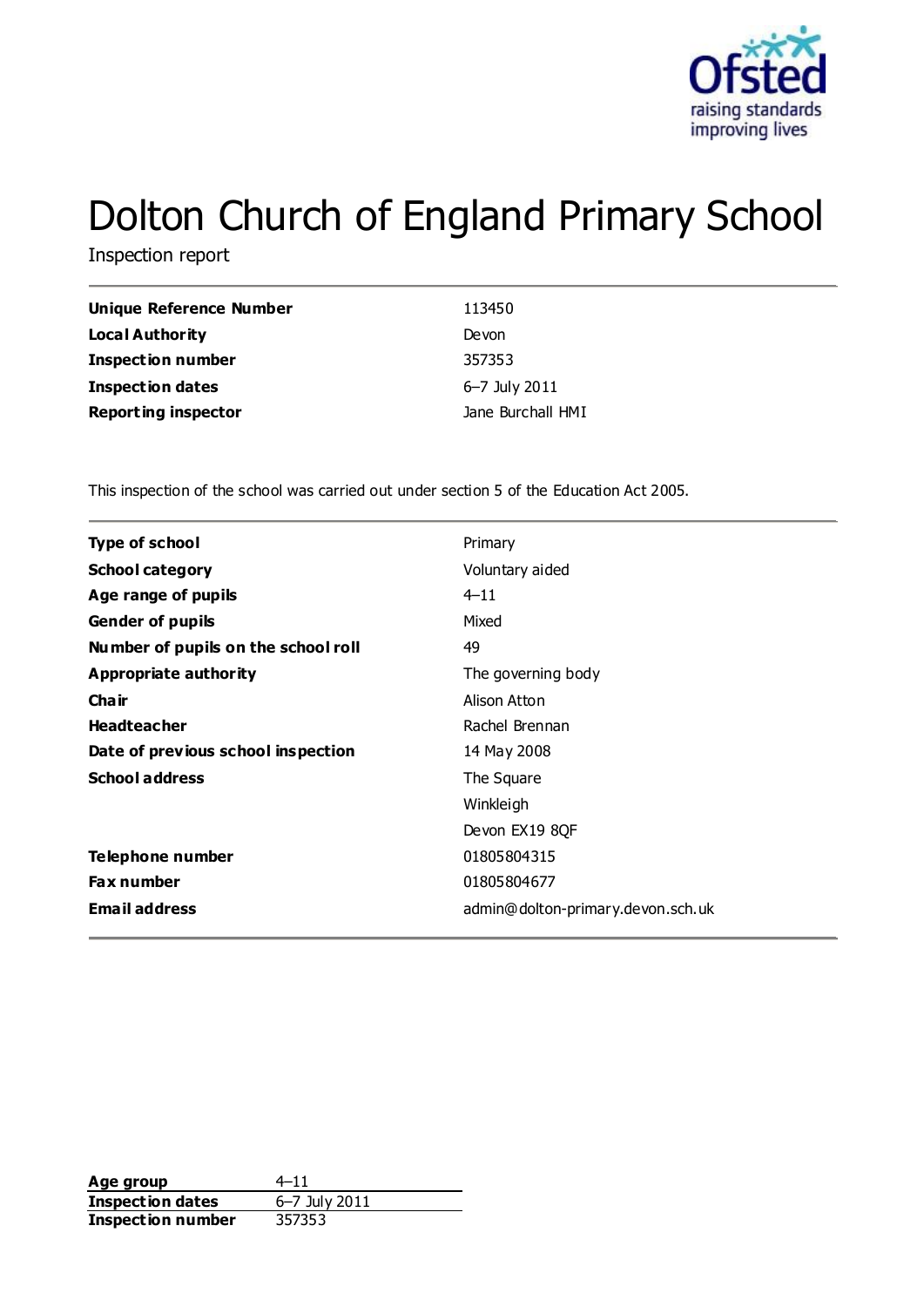

# Dolton Church of England Primary School

Inspection report

| Unique Reference Number    | 113450            |
|----------------------------|-------------------|
| <b>Local Authority</b>     | Devon             |
| <b>Inspection number</b>   | 357353            |
| <b>Inspection dates</b>    | 6–7 July 2011     |
| <b>Reporting inspector</b> | Jane Burchall HMI |

This inspection of the school was carried out under section 5 of the Education Act 2005.

| <b>Type of school</b><br>Primary<br><b>School category</b><br>Voluntary aided<br>$4 - 11$<br>Age range of pupils<br>Mixed<br><b>Gender of pupils</b><br>49<br>Number of pupils on the school roll<br>Appropriate authority<br>The governing body<br>Cha ir<br>Alison Atton<br><b>Headteacher</b><br>Rachel Brennan<br>Date of previous school inspection<br>14 May 2008<br><b>School address</b><br>The Square<br>Winkleigh<br>Devon EX19 8QF<br>Telephone number<br>01805804315<br><b>Fax number</b><br>01805804677<br><b>Email address</b><br>admin@dolton-primary.devon.sch.uk |  |
|-----------------------------------------------------------------------------------------------------------------------------------------------------------------------------------------------------------------------------------------------------------------------------------------------------------------------------------------------------------------------------------------------------------------------------------------------------------------------------------------------------------------------------------------------------------------------------------|--|
|                                                                                                                                                                                                                                                                                                                                                                                                                                                                                                                                                                                   |  |
|                                                                                                                                                                                                                                                                                                                                                                                                                                                                                                                                                                                   |  |
|                                                                                                                                                                                                                                                                                                                                                                                                                                                                                                                                                                                   |  |
|                                                                                                                                                                                                                                                                                                                                                                                                                                                                                                                                                                                   |  |
|                                                                                                                                                                                                                                                                                                                                                                                                                                                                                                                                                                                   |  |
|                                                                                                                                                                                                                                                                                                                                                                                                                                                                                                                                                                                   |  |
|                                                                                                                                                                                                                                                                                                                                                                                                                                                                                                                                                                                   |  |
|                                                                                                                                                                                                                                                                                                                                                                                                                                                                                                                                                                                   |  |
|                                                                                                                                                                                                                                                                                                                                                                                                                                                                                                                                                                                   |  |
|                                                                                                                                                                                                                                                                                                                                                                                                                                                                                                                                                                                   |  |
|                                                                                                                                                                                                                                                                                                                                                                                                                                                                                                                                                                                   |  |
|                                                                                                                                                                                                                                                                                                                                                                                                                                                                                                                                                                                   |  |
|                                                                                                                                                                                                                                                                                                                                                                                                                                                                                                                                                                                   |  |
|                                                                                                                                                                                                                                                                                                                                                                                                                                                                                                                                                                                   |  |
|                                                                                                                                                                                                                                                                                                                                                                                                                                                                                                                                                                                   |  |

**Age group** 4–11 **Inspection dates** 6–7 July 2011 **Inspection number** 357353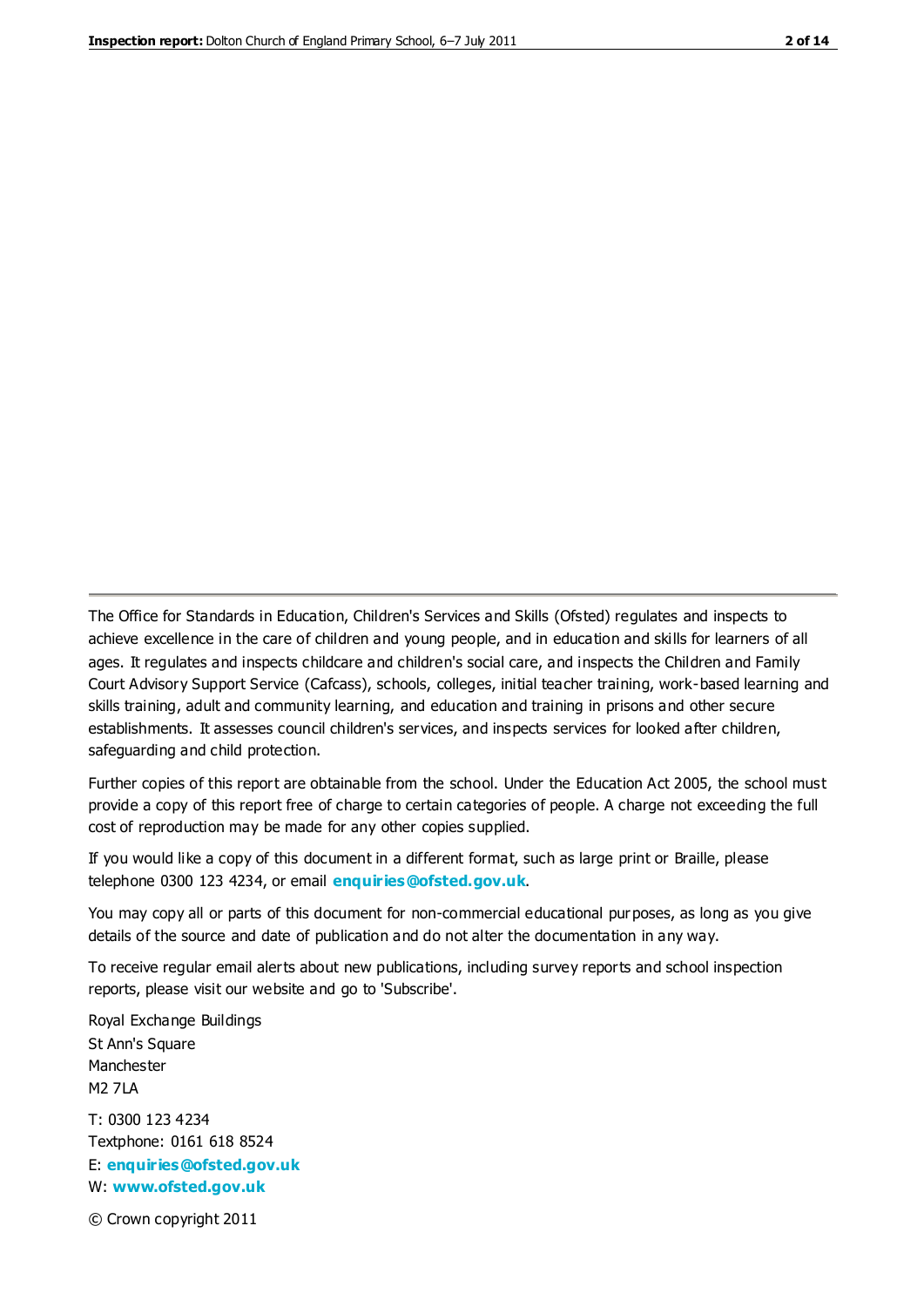The Office for Standards in Education, Children's Services and Skills (Ofsted) regulates and inspects to achieve excellence in the care of children and young people, and in education and skills for learners of all ages. It regulates and inspects childcare and children's social care, and inspects the Children and Family Court Advisory Support Service (Cafcass), schools, colleges, initial teacher training, work-based learning and skills training, adult and community learning, and education and training in prisons and other secure establishments. It assesses council children's services, and inspects services for looked after children, safeguarding and child protection.

Further copies of this report are obtainable from the school. Under the Education Act 2005, the school must provide a copy of this report free of charge to certain categories of people. A charge not exceeding the full cost of reproduction may be made for any other copies supplied.

If you would like a copy of this document in a different format, such as large print or Braille, please telephone 0300 123 4234, or email **[enquiries@ofsted.gov.uk](mailto:enquiries@ofsted.gov.uk)**.

You may copy all or parts of this document for non-commercial educational purposes, as long as you give details of the source and date of publication and do not alter the documentation in any way.

To receive regular email alerts about new publications, including survey reports and school inspection reports, please visit our website and go to 'Subscribe'.

Royal Exchange Buildings St Ann's Square Manchester M2 7LA T: 0300 123 4234 Textphone: 0161 618 8524 E: **[enquiries@ofsted.gov.uk](mailto:enquiries@ofsted.gov.uk)**

W: **[www.ofsted.gov.uk](http://www.ofsted.gov.uk/)**

© Crown copyright 2011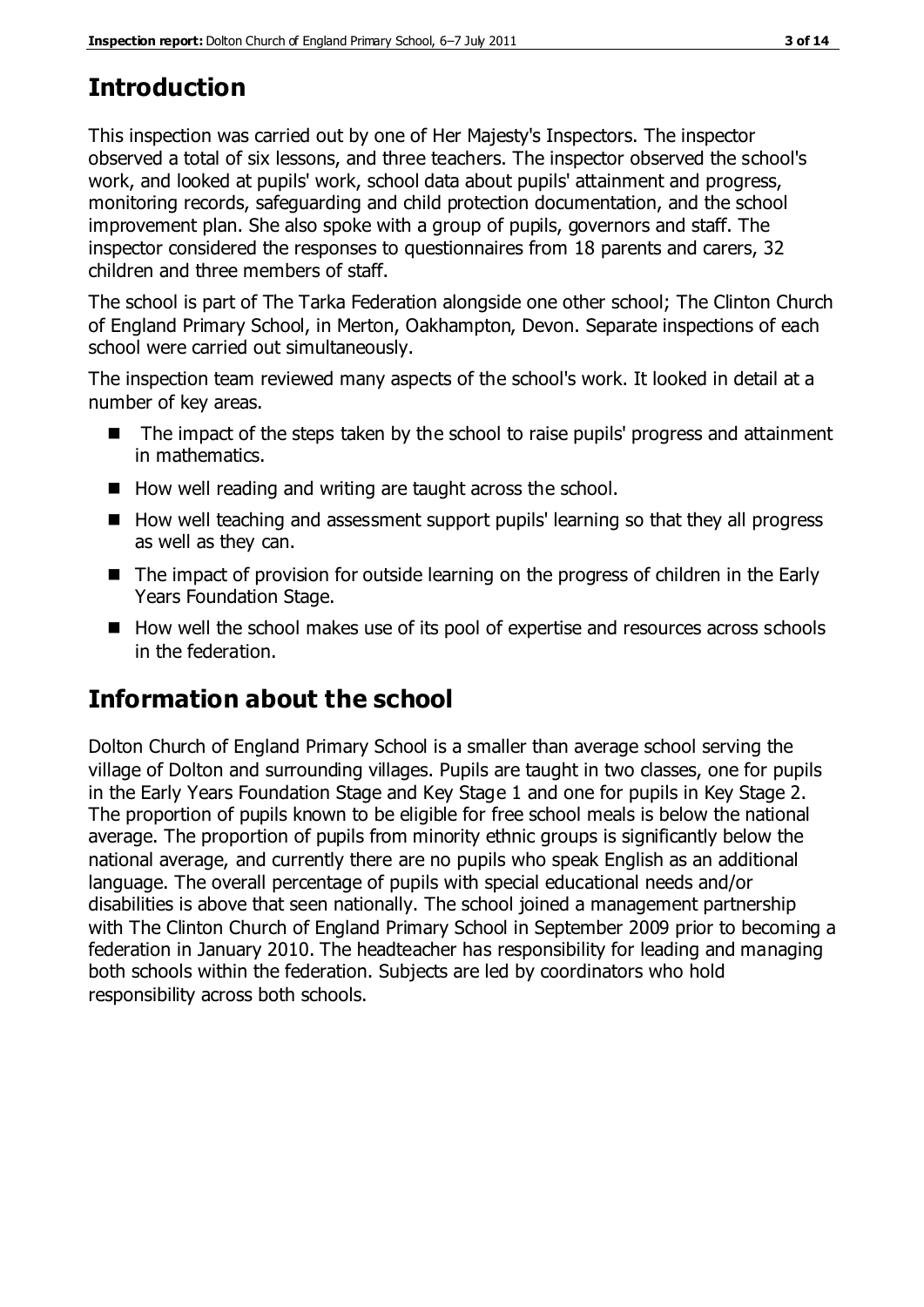# **Introduction**

This inspection was carried out by one of Her Majesty's Inspectors. The inspector observed a total of six lessons, and three teachers. The inspector observed the school's work, and looked at pupils' work, school data about pupils' attainment and progress, monitoring records, safeguarding and child protection documentation, and the school improvement plan. She also spoke with a group of pupils, governors and staff. The inspector considered the responses to questionnaires from 18 parents and carers, 32 children and three members of staff.

The school is part of The Tarka Federation alongside one other school; The Clinton Church of England Primary School, in Merton, Oakhampton, Devon. Separate inspections of each school were carried out simultaneously.

The inspection team reviewed many aspects of the school's work. It looked in detail at a number of key areas.

- The impact of the steps taken by the school to raise pupils' progress and attainment in mathematics.
- How well reading and writing are taught across the school.
- How well teaching and assessment support pupils' learning so that they all progress as well as they can.
- The impact of provision for outside learning on the progress of children in the Early Years Foundation Stage.
- How well the school makes use of its pool of expertise and resources across schools in the federation.

# **Information about the school**

Dolton Church of England Primary School is a smaller than average school serving the village of Dolton and surrounding villages. Pupils are taught in two classes, one for pupils in the Early Years Foundation Stage and Key Stage 1 and one for pupils in Key Stage 2. The proportion of pupils known to be eligible for free school meals is below the national average. The proportion of pupils from minority ethnic groups is significantly below the national average, and currently there are no pupils who speak English as an additional language. The overall percentage of pupils with special educational needs and/or disabilities is above that seen nationally. The school joined a management partnership with The Clinton Church of England Primary School in September 2009 prior to becoming a federation in January 2010. The headteacher has responsibility for leading and managing both schools within the federation. Subjects are led by coordinators who hold responsibility across both schools.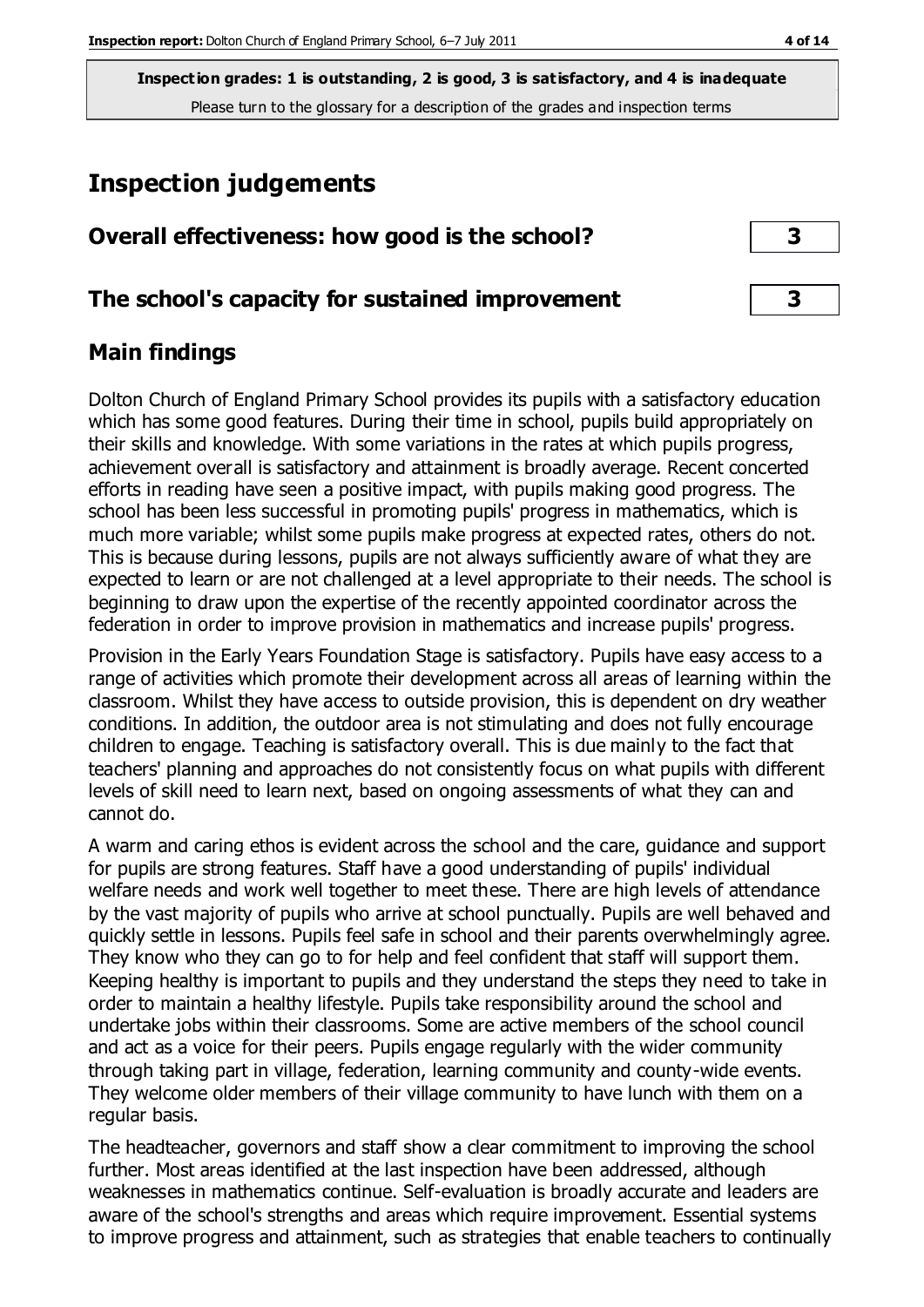# **Inspection judgements**

| Overall effectiveness: how good is the school?  |  |
|-------------------------------------------------|--|
| The school's capacity for sustained improvement |  |

### **Main findings**

Dolton Church of England Primary School provides its pupils with a satisfactory education which has some good features. During their time in school, pupils build appropriately on their skills and knowledge. With some variations in the rates at which pupils progress, achievement overall is satisfactory and attainment is broadly average. Recent concerted efforts in reading have seen a positive impact, with pupils making good progress. The school has been less successful in promoting pupils' progress in mathematics, which is much more variable; whilst some pupils make progress at expected rates, others do not. This is because during lessons, pupils are not always sufficiently aware of what they are expected to learn or are not challenged at a level appropriate to their needs. The school is beginning to draw upon the expertise of the recently appointed coordinator across the federation in order to improve provision in mathematics and increase pupils' progress.

Provision in the Early Years Foundation Stage is satisfactory. Pupils have easy access to a range of activities which promote their development across all areas of learning within the classroom. Whilst they have access to outside provision, this is dependent on dry weather conditions. In addition, the outdoor area is not stimulating and does not fully encourage children to engage. Teaching is satisfactory overall. This is due mainly to the fact that teachers' planning and approaches do not consistently focus on what pupils with different levels of skill need to learn next, based on ongoing assessments of what they can and cannot do.

A warm and caring ethos is evident across the school and the care, guidance and support for pupils are strong features. Staff have a good understanding of pupils' individual welfare needs and work well together to meet these. There are high levels of attendance by the vast majority of pupils who arrive at school punctually. Pupils are well behaved and quickly settle in lessons. Pupils feel safe in school and their parents overwhelmingly agree. They know who they can go to for help and feel confident that staff will support them. Keeping healthy is important to pupils and they understand the steps they need to take in order to maintain a healthy lifestyle. Pupils take responsibility around the school and undertake jobs within their classrooms. Some are active members of the school council and act as a voice for their peers. Pupils engage regularly with the wider community through taking part in village, federation, learning community and county-wide events. They welcome older members of their village community to have lunch with them on a regular basis.

The headteacher, governors and staff show a clear commitment to improving the school further. Most areas identified at the last inspection have been addressed, although weaknesses in mathematics continue. Self-evaluation is broadly accurate and leaders are aware of the school's strengths and areas which require improvement. Essential systems to improve progress and attainment, such as strategies that enable teachers to continually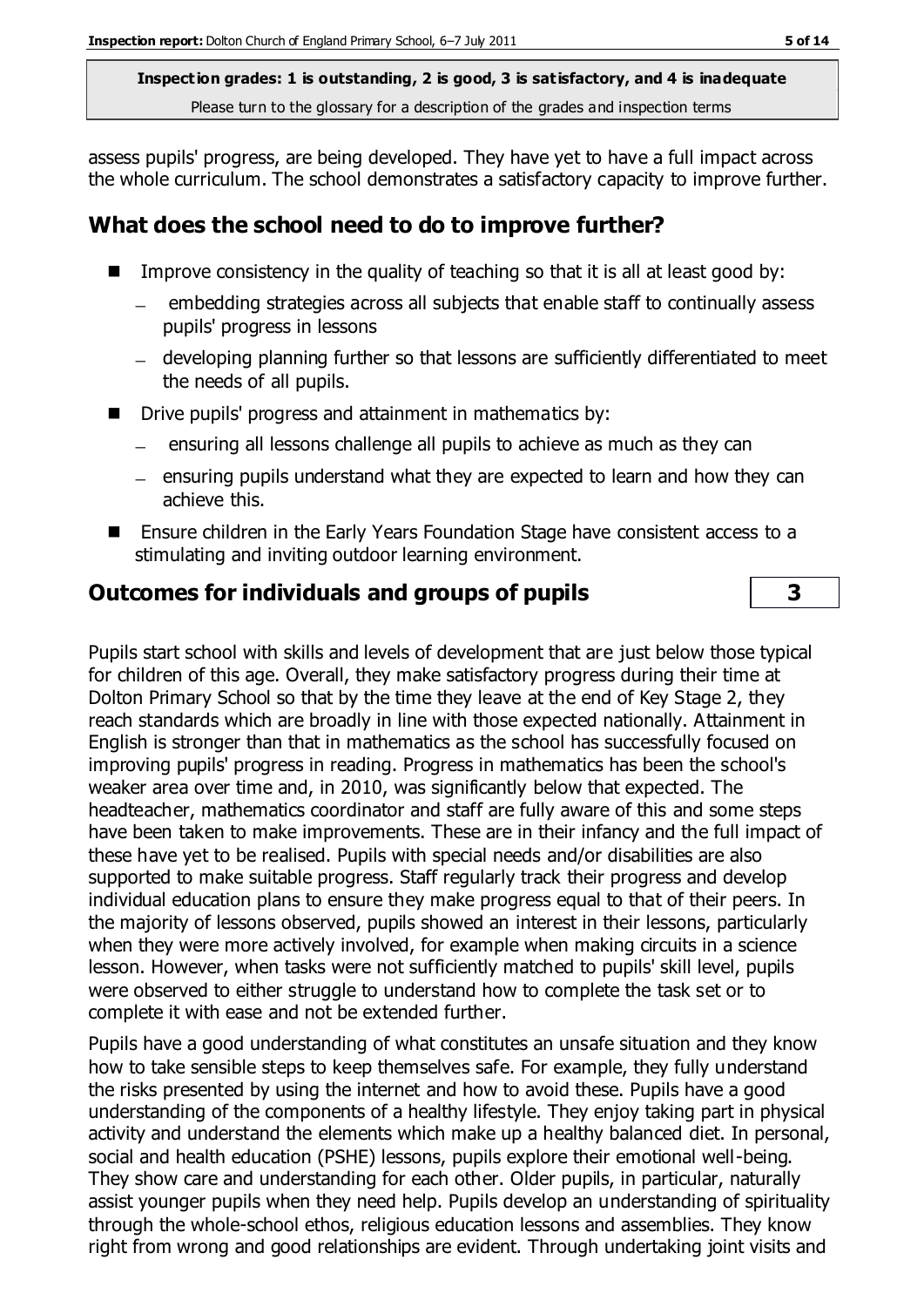assess pupils' progress, are being developed. They have yet to have a full impact across the whole curriculum. The school demonstrates a satisfactory capacity to improve further.

## **What does the school need to do to improve further?**

- Improve consistency in the quality of teaching so that it is all at least good by:
	- embedding strategies across all subjects that enable staff to continually assess pupils' progress in lessons
	- developing planning further so that lessons are sufficiently differentiated to meet the needs of all pupils.
- Drive pupils' progress and attainment in mathematics by:
	- ensuring all lessons challenge all pupils to achieve as much as they can
	- $-$  ensuring pupils understand what they are expected to learn and how they can achieve this.
- Ensure children in the Early Years Foundation Stage have consistent access to a stimulating and inviting outdoor learning environment.

## **Outcomes for individuals and groups of pupils 3**

Pupils start school with skills and levels of development that are just below those typical for children of this age. Overall, they make satisfactory progress during their time at Dolton Primary School so that by the time they leave at the end of Key Stage 2, they reach standards which are broadly in line with those expected nationally. Attainment in English is stronger than that in mathematics as the school has successfully focused on improving pupils' progress in reading. Progress in mathematics has been the school's weaker area over time and, in 2010, was significantly below that expected. The headteacher, mathematics coordinator and staff are fully aware of this and some steps have been taken to make improvements. These are in their infancy and the full impact of these have yet to be realised. Pupils with special needs and/or disabilities are also supported to make suitable progress. Staff regularly track their progress and develop individual education plans to ensure they make progress equal to that of their peers. In the majority of lessons observed, pupils showed an interest in their lessons, particularly when they were more actively involved, for example when making circuits in a science lesson. However, when tasks were not sufficiently matched to pupils' skill level, pupils were observed to either struggle to understand how to complete the task set or to complete it with ease and not be extended further.

Pupils have a good understanding of what constitutes an unsafe situation and they know how to take sensible steps to keep themselves safe. For example, they fully understand the risks presented by using the internet and how to avoid these. Pupils have a good understanding of the components of a healthy lifestyle. They enjoy taking part in physical activity and understand the elements which make up a healthy balanced diet. In personal, social and health education (PSHE) lessons, pupils explore their emotional well-being. They show care and understanding for each other. Older pupils, in particular, naturally assist younger pupils when they need help. Pupils develop an understanding of spirituality through the whole-school ethos, religious education lessons and assemblies. They know right from wrong and good relationships are evident. Through undertaking joint visits and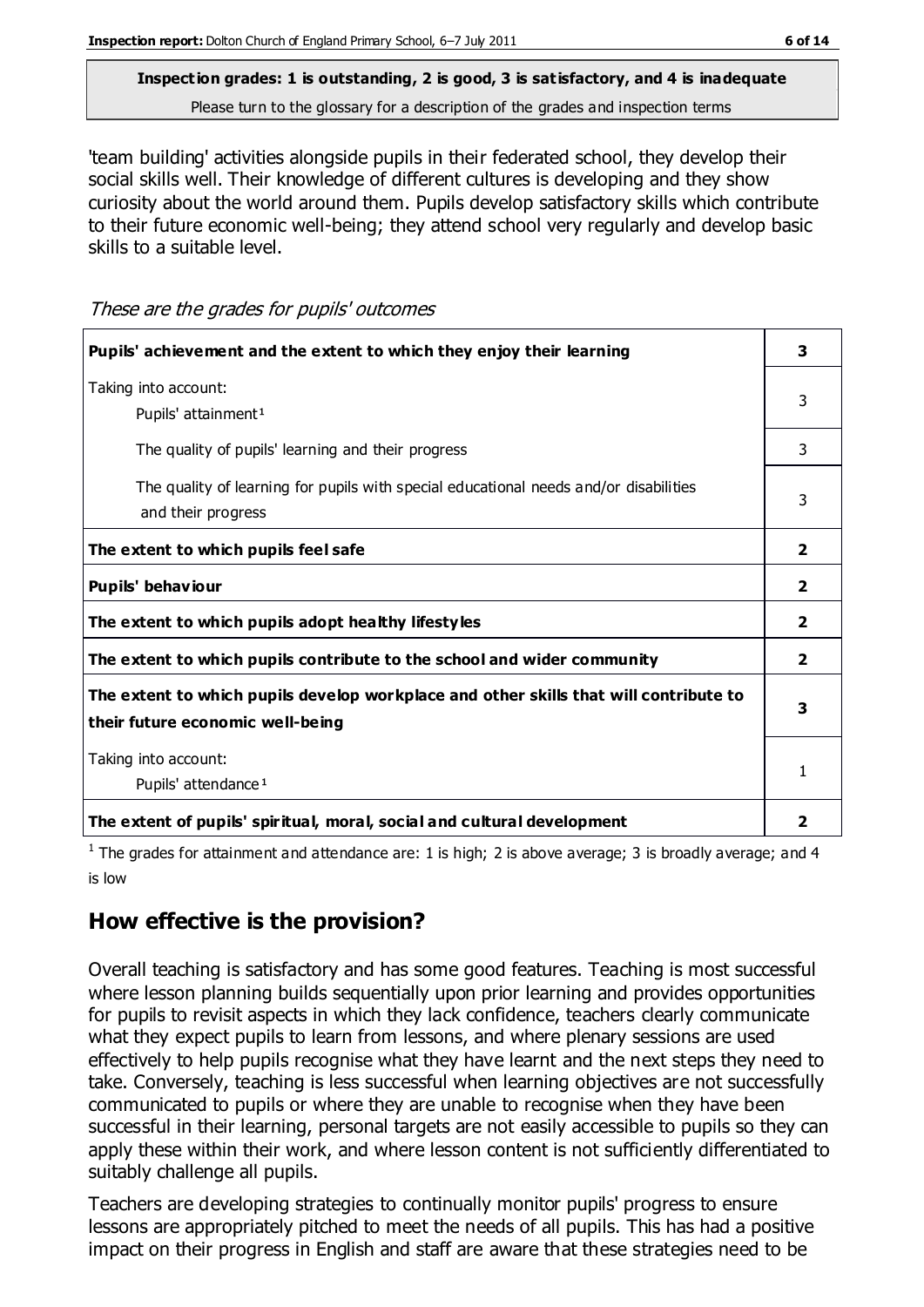'team building' activities alongside pupils in their federated school, they develop their social skills well. Their knowledge of different cultures is developing and they show curiosity about the world around them. Pupils develop satisfactory skills which contribute to their future economic well-being; they attend school very regularly and develop basic skills to a suitable level.

These are the grades for pupils' outcomes

| Pupils' achievement and the extent to which they enjoy their learning                                                     | 3                       |
|---------------------------------------------------------------------------------------------------------------------------|-------------------------|
| Taking into account:<br>Pupils' attainment <sup>1</sup>                                                                   | 3                       |
| The quality of pupils' learning and their progress                                                                        | 3                       |
| The quality of learning for pupils with special educational needs and/or disabilities<br>and their progress               | 3                       |
| The extent to which pupils feel safe                                                                                      | $\mathbf{2}$            |
| Pupils' behaviour                                                                                                         | $\overline{2}$          |
| The extent to which pupils adopt healthy lifestyles                                                                       | $\overline{2}$          |
| The extent to which pupils contribute to the school and wider community                                                   | $\overline{\mathbf{2}}$ |
| The extent to which pupils develop workplace and other skills that will contribute to<br>their future economic well-being |                         |
| Taking into account:<br>Pupils' attendance <sup>1</sup>                                                                   |                         |
| The extent of pupils' spiritual, moral, social and cultural development                                                   | 2                       |

<sup>1</sup> The grades for attainment and attendance are: 1 is high; 2 is above average; 3 is broadly average; and 4 is low

## **How effective is the provision?**

Overall teaching is satisfactory and has some good features. Teaching is most successful where lesson planning builds sequentially upon prior learning and provides opportunities for pupils to revisit aspects in which they lack confidence, teachers clearly communicate what they expect pupils to learn from lessons, and where plenary sessions are used effectively to help pupils recognise what they have learnt and the next steps they need to take. Conversely, teaching is less successful when learning objectives are not successfully communicated to pupils or where they are unable to recognise when they have been successful in their learning, personal targets are not easily accessible to pupils so they can apply these within their work, and where lesson content is not sufficiently differentiated to suitably challenge all pupils.

Teachers are developing strategies to continually monitor pupils' progress to ensure lessons are appropriately pitched to meet the needs of all pupils. This has had a positive impact on their progress in English and staff are aware that these strategies need to be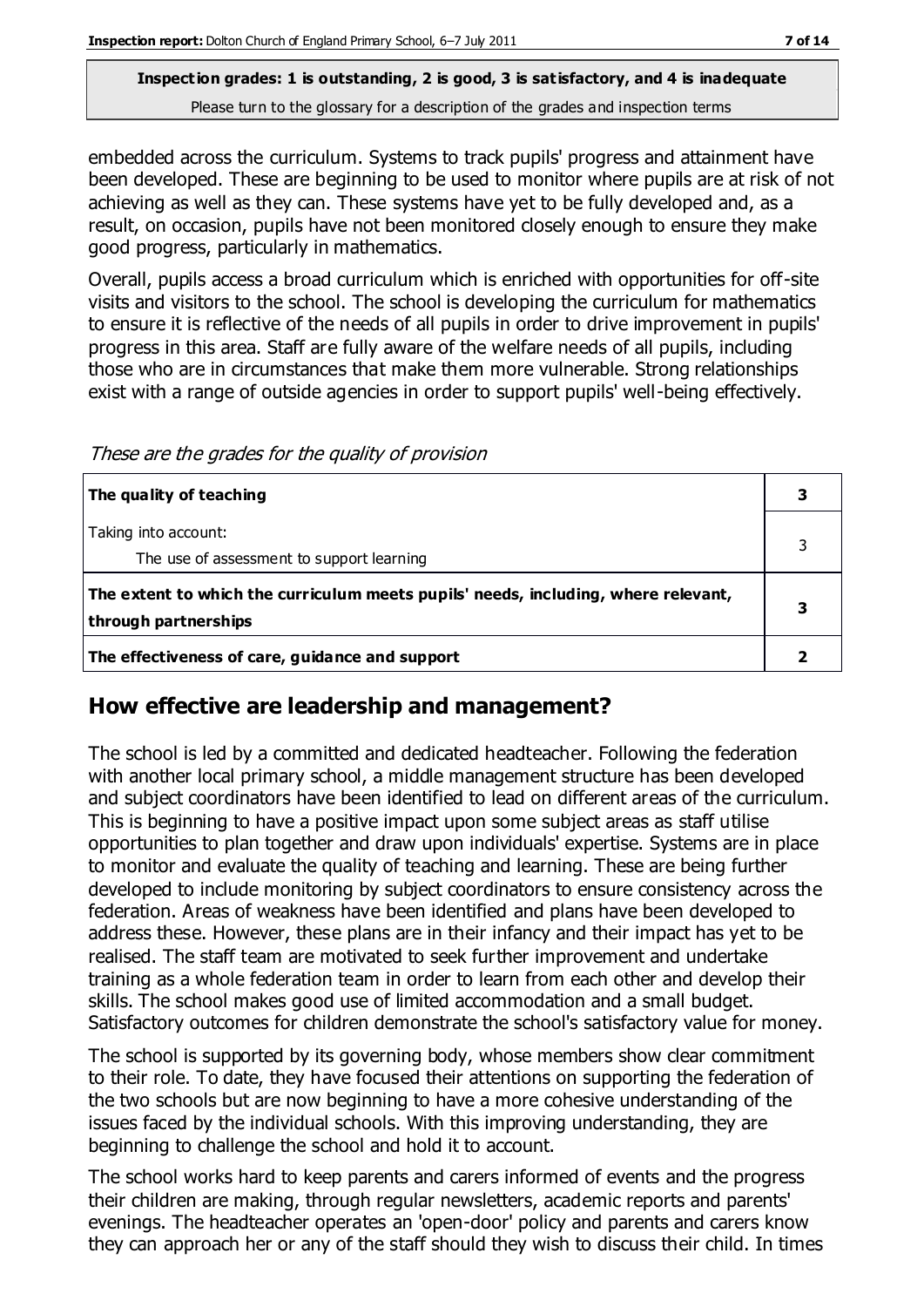embedded across the curriculum. Systems to track pupils' progress and attainment have been developed. These are beginning to be used to monitor where pupils are at risk of not achieving as well as they can. These systems have yet to be fully developed and, as a result, on occasion, pupils have not been monitored closely enough to ensure they make good progress, particularly in mathematics.

Overall, pupils access a broad curriculum which is enriched with opportunities for off-site visits and visitors to the school. The school is developing the curriculum for mathematics to ensure it is reflective of the needs of all pupils in order to drive improvement in pupils' progress in this area. Staff are fully aware of the welfare needs of all pupils, including those who are in circumstances that make them more vulnerable. Strong relationships exist with a range of outside agencies in order to support pupils' well-being effectively.

These are the grades for the quality of provision

| The quality of teaching                                                                                    |   |
|------------------------------------------------------------------------------------------------------------|---|
| Taking into account:<br>The use of assessment to support learning                                          |   |
| The extent to which the curriculum meets pupils' needs, including, where relevant,<br>through partnerships | з |
| The effectiveness of care, guidance and support                                                            |   |

## **How effective are leadership and management?**

The school is led by a committed and dedicated headteacher. Following the federation with another local primary school, a middle management structure has been developed and subject coordinators have been identified to lead on different areas of the curriculum. This is beginning to have a positive impact upon some subject areas as staff utilise opportunities to plan together and draw upon individuals' expertise. Systems are in place to monitor and evaluate the quality of teaching and learning. These are being further developed to include monitoring by subject coordinators to ensure consistency across the federation. Areas of weakness have been identified and plans have been developed to address these. However, these plans are in their infancy and their impact has yet to be realised. The staff team are motivated to seek further improvement and undertake training as a whole federation team in order to learn from each other and develop their skills. The school makes good use of limited accommodation and a small budget. Satisfactory outcomes for children demonstrate the school's satisfactory value for money.

The school is supported by its governing body, whose members show clear commitment to their role. To date, they have focused their attentions on supporting the federation of the two schools but are now beginning to have a more cohesive understanding of the issues faced by the individual schools. With this improving understanding, they are beginning to challenge the school and hold it to account.

The school works hard to keep parents and carers informed of events and the progress their children are making, through regular newsletters, academic reports and parents' evenings. The headteacher operates an 'open-door' policy and parents and carers know they can approach her or any of the staff should they wish to discuss their child. In times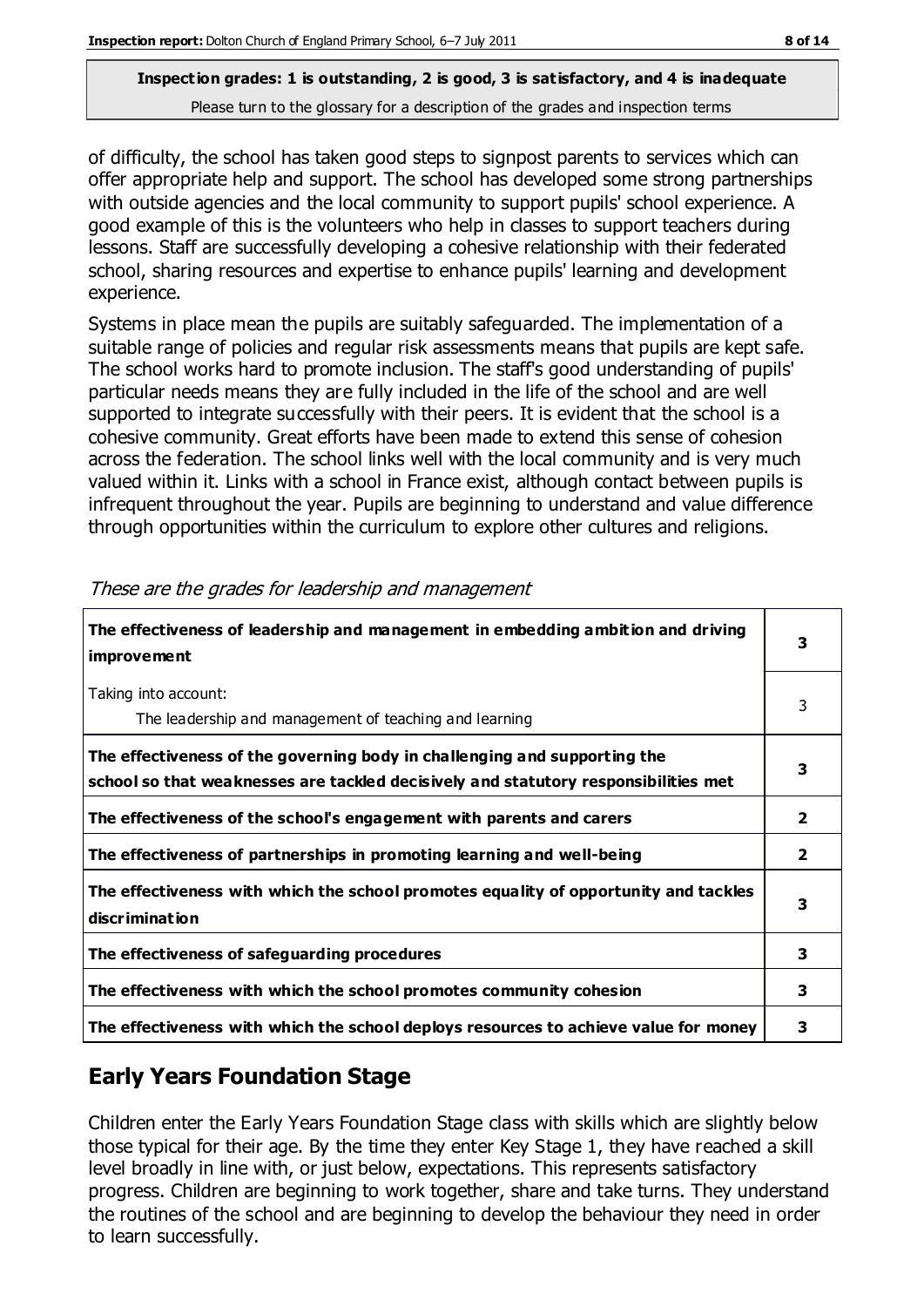of difficulty, the school has taken good steps to signpost parents to services which can offer appropriate help and support. The school has developed some strong partnerships with outside agencies and the local community to support pupils' school experience. A good example of this is the volunteers who help in classes to support teachers during lessons. Staff are successfully developing a cohesive relationship with their federated school, sharing resources and expertise to enhance pupils' learning and development experience.

Systems in place mean the pupils are suitably safeguarded. The implementation of a suitable range of policies and regular risk assessments means that pupils are kept safe. The school works hard to promote inclusion. The staff's good understanding of pupils' particular needs means they are fully included in the life of the school and are well supported to integrate successfully with their peers. It is evident that the school is a cohesive community. Great efforts have been made to extend this sense of cohesion across the federation. The school links well with the local community and is very much valued within it. Links with a school in France exist, although contact between pupils is infrequent throughout the year. Pupils are beginning to understand and value difference through opportunities within the curriculum to explore other cultures and religions.

| The effectiveness of leadership and management in embedding ambition and driving<br><i>improvement</i>                                                           | 3                       |
|------------------------------------------------------------------------------------------------------------------------------------------------------------------|-------------------------|
| Taking into account:<br>The leadership and management of teaching and learning                                                                                   | 3                       |
| The effectiveness of the governing body in challenging and supporting the<br>school so that weaknesses are tackled decisively and statutory responsibilities met | 3                       |
| The effectiveness of the school's engagement with parents and carers                                                                                             | $\overline{\mathbf{2}}$ |
| The effectiveness of partnerships in promoting learning and well-being                                                                                           | $\overline{\mathbf{2}}$ |
| The effectiveness with which the school promotes equality of opportunity and tackles<br>discrimination                                                           | 3                       |
| The effectiveness of safeguarding procedures                                                                                                                     | 3                       |
| The effectiveness with which the school promotes community cohesion                                                                                              | 3                       |
| The effectiveness with which the school deploys resources to achieve value for money                                                                             | 3                       |

These are the grades for leadership and management

## **Early Years Foundation Stage**

Children enter the Early Years Foundation Stage class with skills which are slightly below those typical for their age. By the time they enter Key Stage 1, they have reached a skill level broadly in line with, or just below, expectations. This represents satisfactory progress. Children are beginning to work together, share and take turns. They understand the routines of the school and are beginning to develop the behaviour they need in order to learn successfully.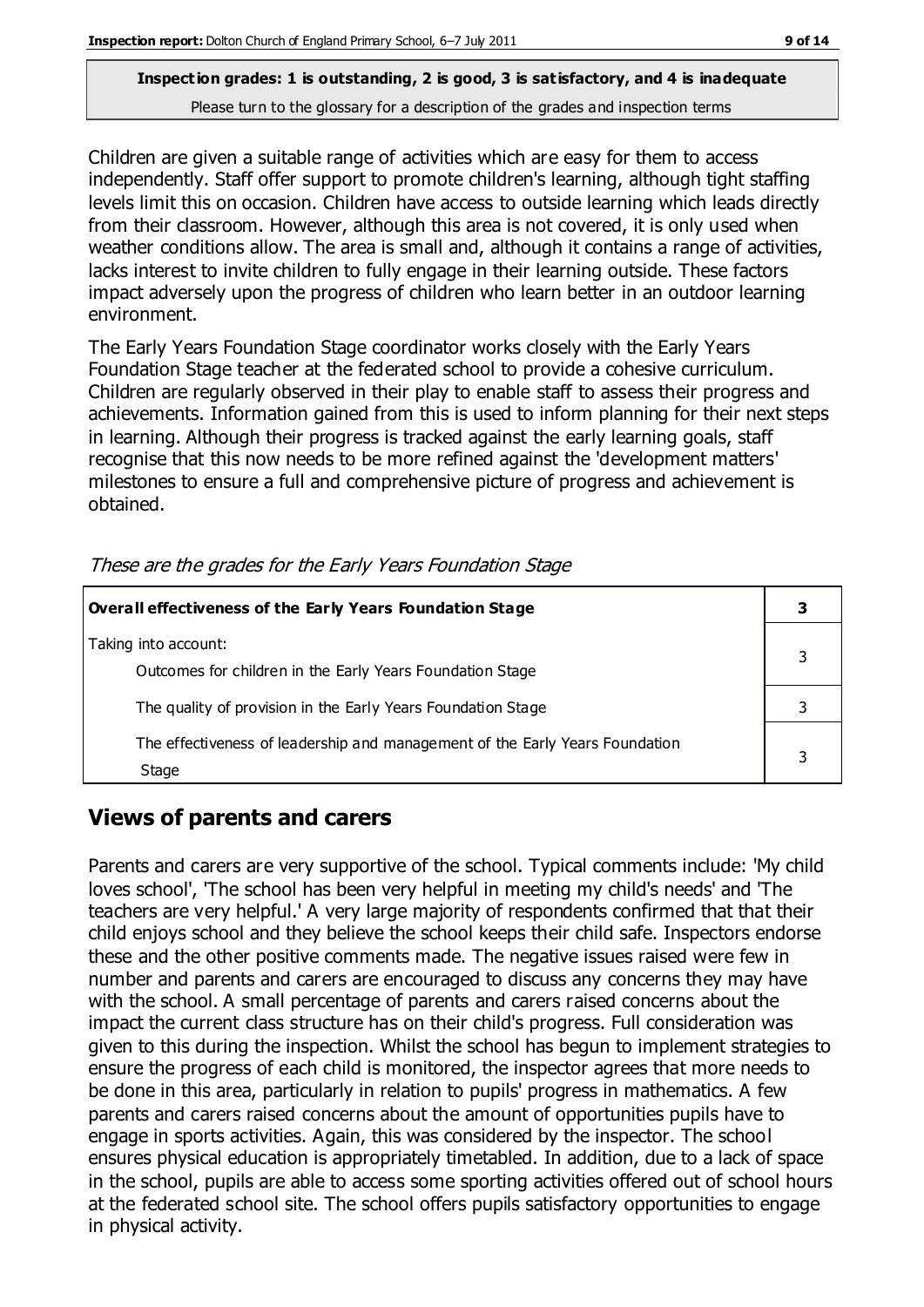Children are given a suitable range of activities which are easy for them to access independently. Staff offer support to promote children's learning, although tight staffing levels limit this on occasion. Children have access to outside learning which leads directly from their classroom. However, although this area is not covered, it is only used when weather conditions allow. The area is small and, although it contains a range of activities, lacks interest to invite children to fully engage in their learning outside. These factors impact adversely upon the progress of children who learn better in an outdoor learning environment.

The Early Years Foundation Stage coordinator works closely with the Early Years Foundation Stage teacher at the federated school to provide a cohesive curriculum. Children are regularly observed in their play to enable staff to assess their progress and achievements. Information gained from this is used to inform planning for their next steps in learning. Although their progress is tracked against the early learning goals, staff recognise that this now needs to be more refined against the 'development matters' milestones to ensure a full and comprehensive picture of progress and achievement is obtained.

| Overall effectiveness of the Early Years Foundation Stage                             |   |
|---------------------------------------------------------------------------------------|---|
| Taking into account:<br>Outcomes for children in the Early Years Foundation Stage     | 3 |
| The quality of provision in the Early Years Foundation Stage                          |   |
| The effectiveness of leadership and management of the Early Years Foundation<br>Stage |   |

These are the grades for the Early Years Foundation Stage

## **Views of parents and carers**

Parents and carers are very supportive of the school. Typical comments include: 'My child loves school', 'The school has been very helpful in meeting my child's needs' and 'The teachers are very helpful.' A very large majority of respondents confirmed that that their child enjoys school and they believe the school keeps their child safe. Inspectors endorse these and the other positive comments made. The negative issues raised were few in number and parents and carers are encouraged to discuss any concerns they may have with the school. A small percentage of parents and carers raised concerns about the impact the current class structure has on their child's progress. Full consideration was given to this during the inspection. Whilst the school has begun to implement strategies to ensure the progress of each child is monitored, the inspector agrees that more needs to be done in this area, particularly in relation to pupils' progress in mathematics. A few parents and carers raised concerns about the amount of opportunities pupils have to engage in sports activities. Again, this was considered by the inspector. The school ensures physical education is appropriately timetabled. In addition, due to a lack of space in the school, pupils are able to access some sporting activities offered out of school hours at the federated school site. The school offers pupils satisfactory opportunities to engage in physical activity.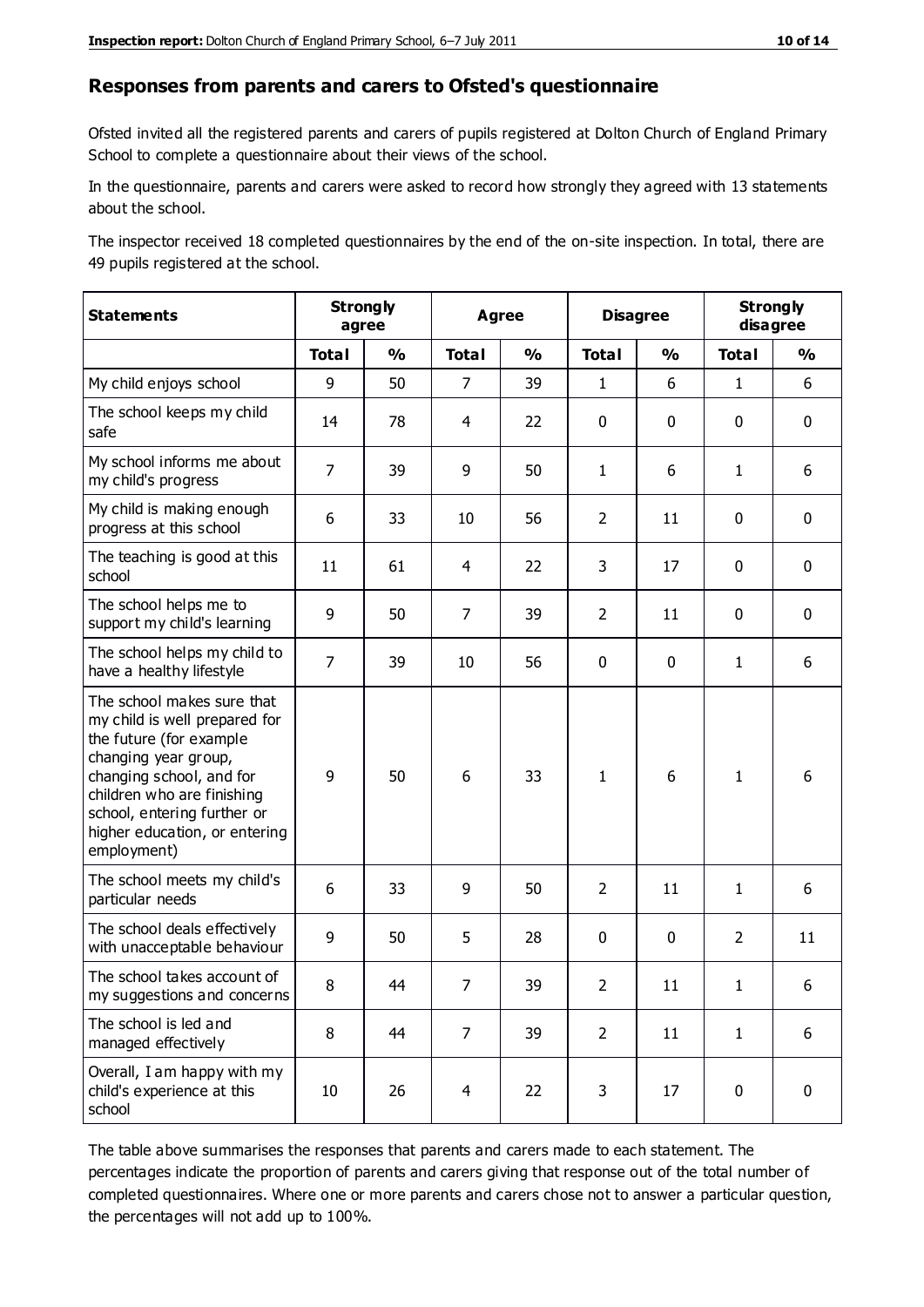#### **Responses from parents and carers to Ofsted's questionnaire**

Ofsted invited all the registered parents and carers of pupils registered at Dolton Church of England Primary School to complete a questionnaire about their views of the school.

In the questionnaire, parents and carers were asked to record how strongly they agreed with 13 statements about the school.

The inspector received 18 completed questionnaires by the end of the on-site inspection. In total, there are 49 pupils registered at the school.

| <b>Statements</b>                                                                                                                                                                                                                                       | <b>Strongly</b><br>agree |               |                | Agree         |                | <b>Disagree</b> |                | <b>Strongly</b><br>disagree |  |
|---------------------------------------------------------------------------------------------------------------------------------------------------------------------------------------------------------------------------------------------------------|--------------------------|---------------|----------------|---------------|----------------|-----------------|----------------|-----------------------------|--|
|                                                                                                                                                                                                                                                         | <b>Total</b>             | $\frac{1}{2}$ | <b>Total</b>   | $\frac{1}{2}$ | <b>Total</b>   | $\frac{0}{0}$   | <b>Total</b>   | $\frac{0}{0}$               |  |
| My child enjoys school                                                                                                                                                                                                                                  | 9                        | 50            | $\overline{7}$ | 39            | $\mathbf{1}$   | 6               | $\mathbf{1}$   | 6                           |  |
| The school keeps my child<br>safe                                                                                                                                                                                                                       | 14                       | 78            | 4              | 22            | 0              | $\mathbf 0$     | $\mathbf 0$    | $\mathbf 0$                 |  |
| My school informs me about<br>my child's progress                                                                                                                                                                                                       | $\overline{7}$           | 39            | 9              | 50            | $\mathbf{1}$   | 6               | $\mathbf{1}$   | 6                           |  |
| My child is making enough<br>progress at this school                                                                                                                                                                                                    | 6                        | 33            | 10             | 56            | $\overline{2}$ | 11              | $\mathbf 0$    | $\mathbf 0$                 |  |
| The teaching is good at this<br>school                                                                                                                                                                                                                  | 11                       | 61            | 4              | 22            | 3              | 17              | 0              | $\mathbf 0$                 |  |
| The school helps me to<br>support my child's learning                                                                                                                                                                                                   | 9                        | 50            | $\overline{7}$ | 39            | $\overline{2}$ | 11              | $\mathbf 0$    | $\mathbf 0$                 |  |
| The school helps my child to<br>have a healthy lifestyle                                                                                                                                                                                                | $\overline{7}$           | 39            | 10             | 56            | 0              | $\mathbf 0$     | $\mathbf{1}$   | 6                           |  |
| The school makes sure that<br>my child is well prepared for<br>the future (for example<br>changing year group,<br>changing school, and for<br>children who are finishing<br>school, entering further or<br>higher education, or entering<br>employment) | 9                        | 50            | 6              | 33            | $\mathbf{1}$   | 6               | $\mathbf{1}$   | 6                           |  |
| The school meets my child's<br>particular needs                                                                                                                                                                                                         | 6                        | 33            | 9              | 50            | $\overline{2}$ | 11              | $\mathbf{1}$   | 6                           |  |
| The school deals effectively<br>with unacceptable behaviour                                                                                                                                                                                             | 9                        | 50            | 5              | 28            | 0              | $\mathbf 0$     | $\overline{2}$ | 11                          |  |
| The school takes account of<br>my suggestions and concerns                                                                                                                                                                                              | 8                        | 44            | 7              | 39            | $\overline{2}$ | 11              | 1              | 6                           |  |
| The school is led and<br>managed effectively                                                                                                                                                                                                            | 8                        | 44            | $\overline{7}$ | 39            | $\overline{2}$ | 11              | $\mathbf{1}$   | 6                           |  |
| Overall, I am happy with my<br>child's experience at this<br>school                                                                                                                                                                                     | 10                       | 26            | 4              | 22            | 3              | 17              | $\mathbf 0$    | $\pmb{0}$                   |  |

The table above summarises the responses that parents and carers made to each statement. The percentages indicate the proportion of parents and carers giving that response out of the total number of completed questionnaires. Where one or more parents and carers chose not to answer a particular question, the percentages will not add up to 100%.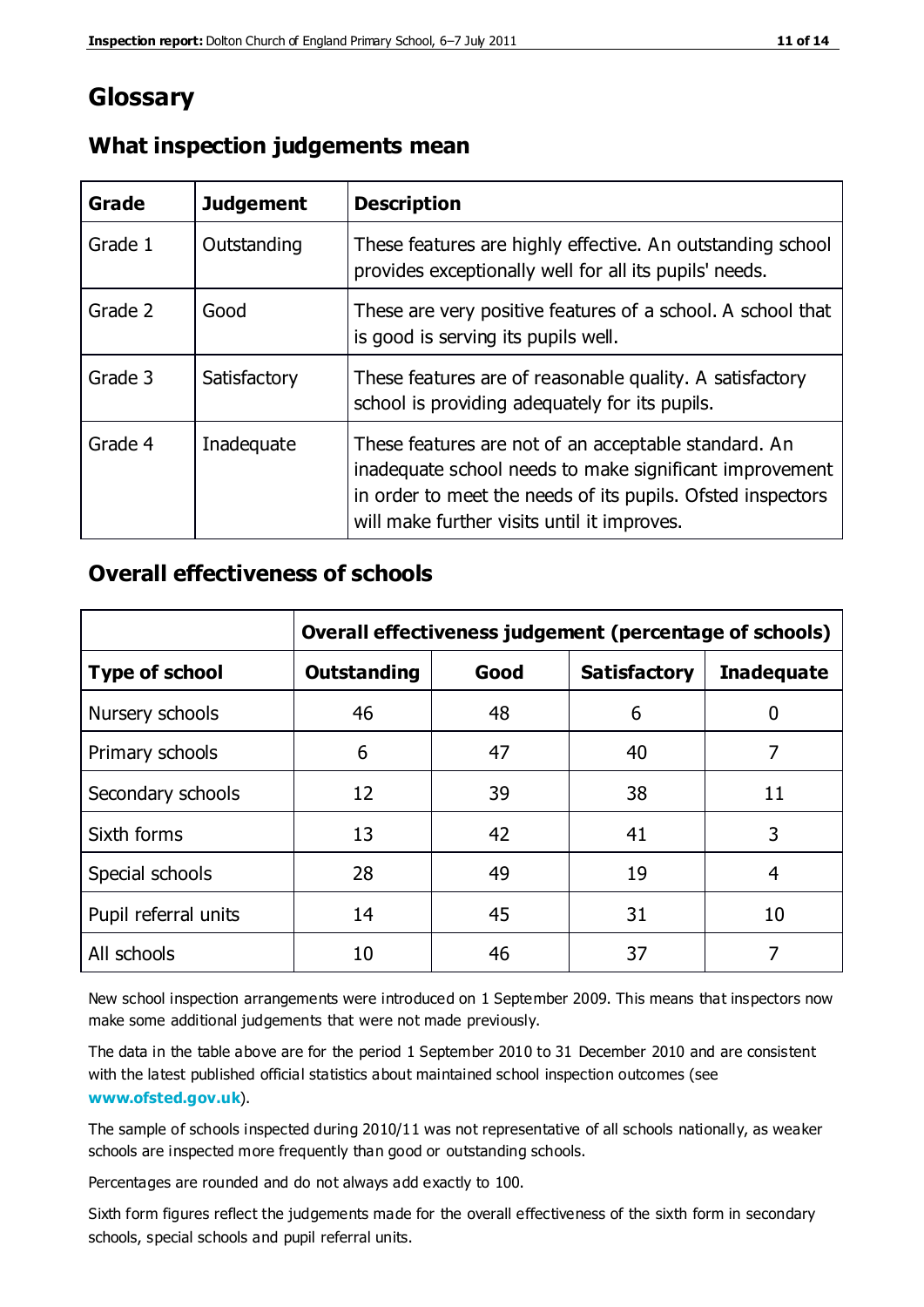# **Glossary**

| Grade   | <b>Judgement</b> | <b>Description</b>                                                                                                                                                                                                            |
|---------|------------------|-------------------------------------------------------------------------------------------------------------------------------------------------------------------------------------------------------------------------------|
| Grade 1 | Outstanding      | These features are highly effective. An outstanding school<br>provides exceptionally well for all its pupils' needs.                                                                                                          |
| Grade 2 | Good             | These are very positive features of a school. A school that<br>is good is serving its pupils well.                                                                                                                            |
| Grade 3 | Satisfactory     | These features are of reasonable quality. A satisfactory<br>school is providing adequately for its pupils.                                                                                                                    |
| Grade 4 | Inadequate       | These features are not of an acceptable standard. An<br>inadequate school needs to make significant improvement<br>in order to meet the needs of its pupils. Ofsted inspectors<br>will make further visits until it improves. |

#### **What inspection judgements mean**

### **Overall effectiveness of schools**

|                       | Overall effectiveness judgement (percentage of schools) |      |                     |                   |
|-----------------------|---------------------------------------------------------|------|---------------------|-------------------|
| <b>Type of school</b> | <b>Outstanding</b>                                      | Good | <b>Satisfactory</b> | <b>Inadequate</b> |
| Nursery schools       | 46                                                      | 48   | 6                   |                   |
| Primary schools       | 6                                                       | 47   | 40                  | 7                 |
| Secondary schools     | 12                                                      | 39   | 38                  | 11                |
| Sixth forms           | 13                                                      | 42   | 41                  | 3                 |
| Special schools       | 28                                                      | 49   | 19                  | 4                 |
| Pupil referral units  | 14                                                      | 45   | 31                  | 10                |
| All schools           | 10                                                      | 46   | 37                  |                   |

New school inspection arrangements were introduced on 1 September 2009. This means that inspectors now make some additional judgements that were not made previously.

The data in the table above are for the period 1 September 2010 to 31 December 2010 and are consistent with the latest published official statistics about maintained school inspection outcomes (see **[www.ofsted.gov.uk](http://www.ofsted.gov.uk/)**).

The sample of schools inspected during 2010/11 was not representative of all schools nationally, as weaker schools are inspected more frequently than good or outstanding schools.

Percentages are rounded and do not always add exactly to 100.

Sixth form figures reflect the judgements made for the overall effectiveness of the sixth form in secondary schools, special schools and pupil referral units.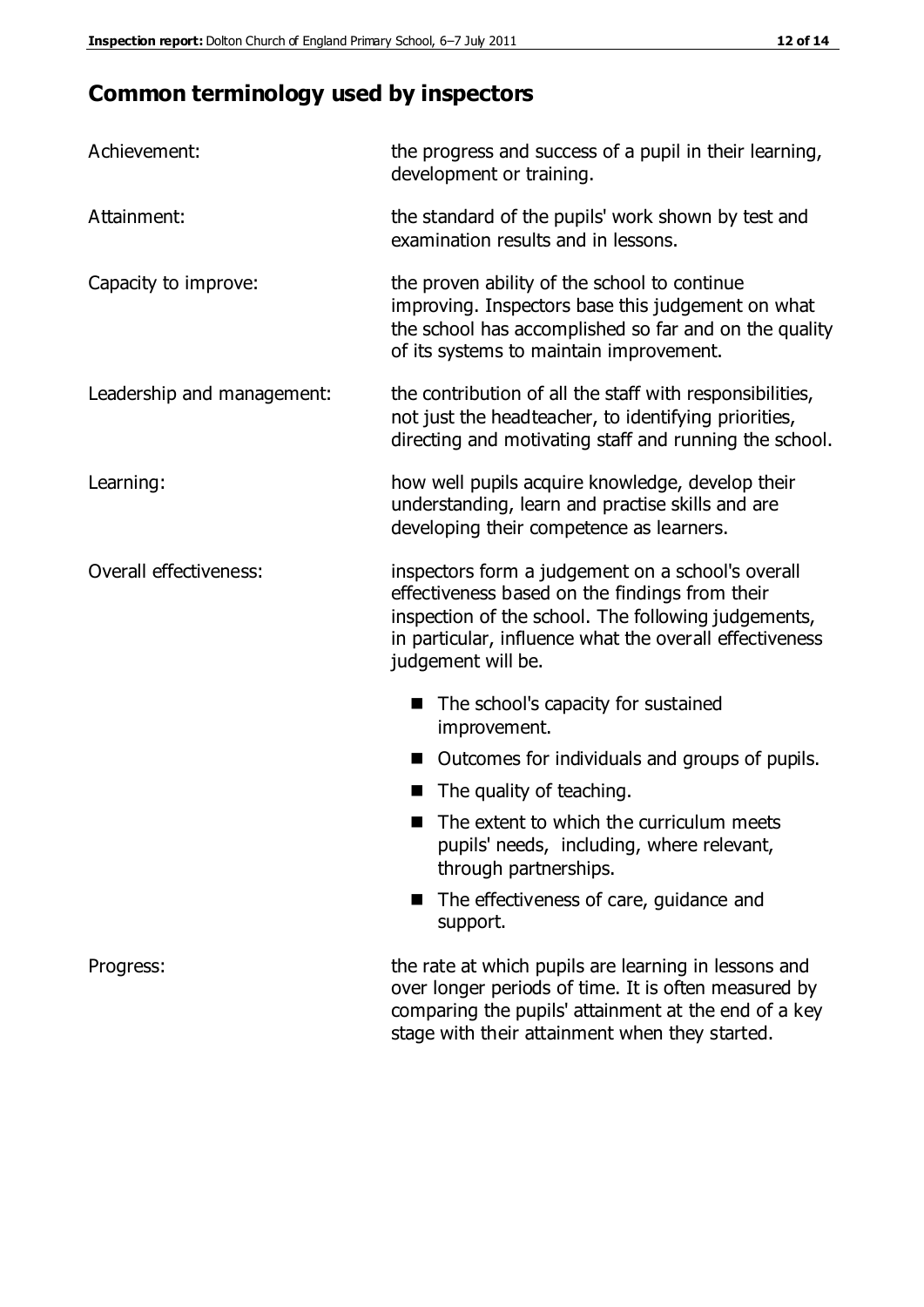# **Common terminology used by inspectors**

| Achievement:               | the progress and success of a pupil in their learning,<br>development or training.                                                                                                                                                          |
|----------------------------|---------------------------------------------------------------------------------------------------------------------------------------------------------------------------------------------------------------------------------------------|
| Attainment:                | the standard of the pupils' work shown by test and<br>examination results and in lessons.                                                                                                                                                   |
| Capacity to improve:       | the proven ability of the school to continue<br>improving. Inspectors base this judgement on what<br>the school has accomplished so far and on the quality<br>of its systems to maintain improvement.                                       |
| Leadership and management: | the contribution of all the staff with responsibilities,<br>not just the headteacher, to identifying priorities,<br>directing and motivating staff and running the school.                                                                  |
| Learning:                  | how well pupils acquire knowledge, develop their<br>understanding, learn and practise skills and are<br>developing their competence as learners.                                                                                            |
| Overall effectiveness:     | inspectors form a judgement on a school's overall<br>effectiveness based on the findings from their<br>inspection of the school. The following judgements,<br>in particular, influence what the overall effectiveness<br>judgement will be. |
|                            | The school's capacity for sustained<br>improvement.                                                                                                                                                                                         |
|                            | Outcomes for individuals and groups of pupils.                                                                                                                                                                                              |
|                            | The quality of teaching.                                                                                                                                                                                                                    |
|                            | The extent to which the curriculum meets<br>pupils' needs, including, where relevant,<br>through partnerships.                                                                                                                              |
|                            | The effectiveness of care, guidance and<br>support.                                                                                                                                                                                         |
| Progress:                  | the rate at which pupils are learning in lessons and<br>over longer periods of time. It is often measured by<br>comparing the pupils' attainment at the end of a key                                                                        |

stage with their attainment when they started.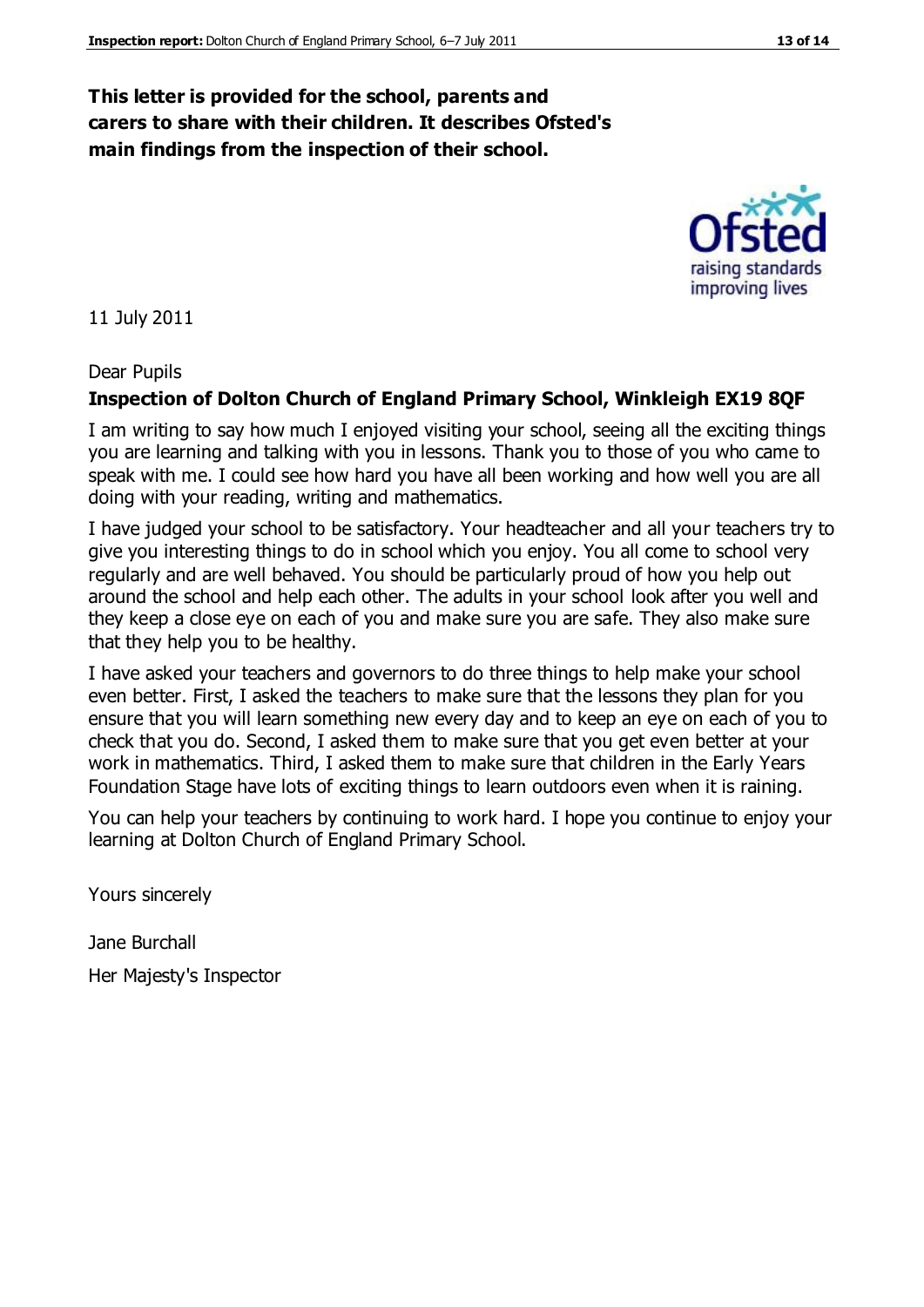#### **This letter is provided for the school, parents and carers to share with their children. It describes Ofsted's main findings from the inspection of their school.**

11 July 2011

#### Dear Pupils

#### **Inspection of Dolton Church of England Primary School, Winkleigh EX19 8QF**

I am writing to say how much I enjoyed visiting your school, seeing all the exciting things you are learning and talking with you in lessons. Thank you to those of you who came to speak with me. I could see how hard you have all been working and how well you are all doing with your reading, writing and mathematics.

I have judged your school to be satisfactory. Your headteacher and all your teachers try to give you interesting things to do in school which you enjoy. You all come to school very regularly and are well behaved. You should be particularly proud of how you help out around the school and help each other. The adults in your school look after you well and they keep a close eye on each of you and make sure you are safe. They also make sure that they help you to be healthy.

I have asked your teachers and governors to do three things to help make your school even better. First, I asked the teachers to make sure that the lessons they plan for you ensure that you will learn something new every day and to keep an eye on each of you to check that you do. Second, I asked them to make sure that you get even better at your work in mathematics. Third, I asked them to make sure that children in the Early Years Foundation Stage have lots of exciting things to learn outdoors even when it is raining.

You can help your teachers by continuing to work hard. I hope you continue to enjoy your learning at Dolton Church of England Primary School.

Yours sincerely

Jane Burchall

Her Majesty's Inspector